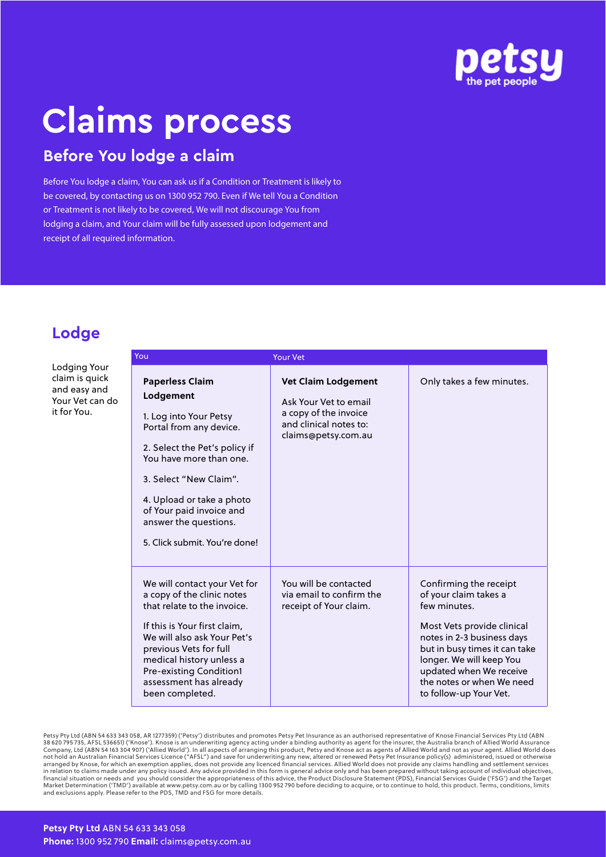

# **Claims process**

## **Before You lodge a claim**

Before You lodge a claim, You can ask us if a Condition or Treatment is likely to be covered, by contacting us on 1300 952 790. Even if We tell You a Condition or Treatment is not likely to be covered, We will not discourage You from lodging a claim, and Your claim will be fully assessed upon lodgement and receipt of all required information.

## **Lodge**

Lodging Your claim is quick and easy and Your Vet can do it for You.

| You                                                                                                                                                                                                                                                                                               |                                                                                                                                                  |                                                                                                                                                                                                                                                                            |
|---------------------------------------------------------------------------------------------------------------------------------------------------------------------------------------------------------------------------------------------------------------------------------------------------|--------------------------------------------------------------------------------------------------------------------------------------------------|----------------------------------------------------------------------------------------------------------------------------------------------------------------------------------------------------------------------------------------------------------------------------|
| <b>Paperless Claim</b><br>Lodgement<br>1. Log into Your Petsy<br>Portal from any device.<br>2. Select the Pet's policy if<br>You have more than one.<br>3. Select "New Claim".<br>4. Upload or take a photo<br>of Your paid invoice and<br>answer the questions.<br>5. Click submit. You're done! | <b>Your Vet</b><br><b>Vet Claim Lodgement</b><br>Ask Your Vet to email<br>a copy of the invoice<br>and clinical notes to:<br>claims@petsy.com.au | Only takes a few minutes.                                                                                                                                                                                                                                                  |
| We will contact your Vet for<br>a copy of the clinic notes<br>that relate to the invoice.<br>If this is Your first claim,<br>We will also ask Your Pet's<br>previous Vets for full<br>medical history unless a<br><b>Pre-existing Condition1</b><br>assessment has already<br>been completed.     | You will be contacted<br>via email to confirm the<br>receipt of Your claim.                                                                      | Confirming the receipt<br>of your claim takes a<br>few minutes.<br>Most Vets provide clinical<br>notes in 2-3 business days<br>but in busy times it can take<br>longer. We will keep You<br>updated when We receive<br>the notes or when We need<br>to follow-up Your Vet. |

Petsy Pty Ltd (ABN 54 633 343 058, AR 1277359) ('Petsy') distributes and promotes Petsy Pet Insurance as an authorised representative of Knose Financial Services Pty Ltd (ABN<br>38 620 795 735, AFSL 536651) ('Knose'). Knose i financial situation or needs and you should consider the appropriateness of this advice, the Product Disclosure Statement (PDS), Financial Services Guide ('FSG') and the Target<br>Market Determination ('TMD') available at www

#### **Petsy Pty Ltd** ABN 54 633 343 058 **Phone:** 1300 952 790 **Email:** claims@petsy.com.au